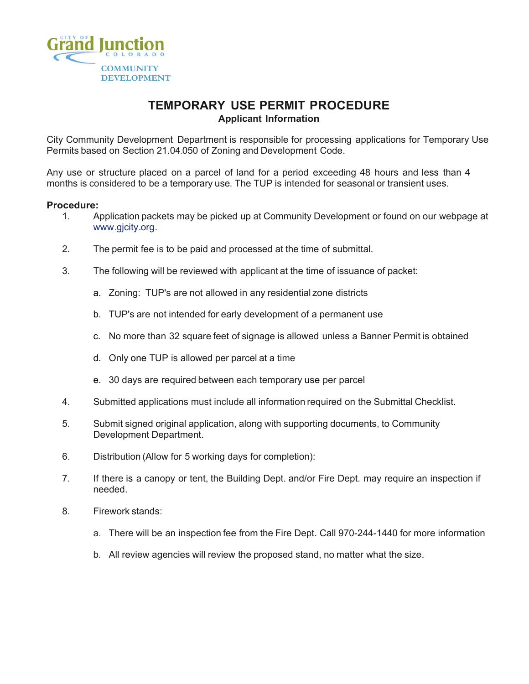

### **TEMPORARY USE PERMIT PROCEDURE Applicant Information**

City Community Development Department is responsible for processing applications for Temporary Use Permits based on Section 21.04.050 of Zoning and Development Code.

Any use or structure placed on a parcel of land for a period exceeding 48 hours and less than 4 months is considered to be a temporary use. The TUP is intended for seasonal or transient uses.

#### **Procedure:**

- 1. Application packets may be picked up at Community Development or found on our webpage at www.gjcity.org.
- 2. The permit fee is to be paid and processed at the time of submittal.
- 3. The following will be reviewed with applicant at the time of issuance of packet:
	- a. Zoning: TUP's are not allowed in any residential zone districts
	- b. TUP's are not intended for early development of a permanent use
	- c. No more than 32 square feet of signage is allowed unless a Banner Permit is obtained
	- d. Only one TUP is allowed per parcel at a time
	- e. 30 days are required between each temporary use per parcel
- 4. Submitted applications must include all information required on the Submittal Checklist.
- 5. Submit signed original application, along with supporting documents, to Community Development Department.
- 6. Distribution (Allow for 5 working days for completion):
- 7. If there is a canopy or tent, the Building Dept. and/or Fire Dept. may require an inspection if needed.
- 8. Firework stands:
	- a. There will be an inspection fee from the Fire Dept. Call 970-244-1440 for more information
	- b. All review agencies will review the proposed stand, no matter what the size.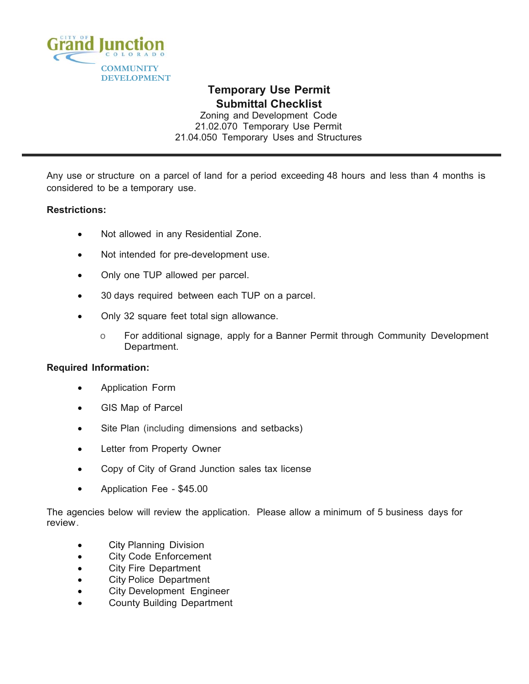

# **Temporary Use Permit Submittal Checklist**

Zoning and Development Code 21.02.070 Temporary Use Permit 21.04.050 Temporary Uses and Structures

Any use or structure on a parcel of land for a period exceeding 48 hours and less than 4 months is considered to be a temporary use.

### **Restrictions:**

- Not allowed in any Residential Zone.
- Not intended for pre-development use.
- Only one TUP allowed per parcel.
- 30 days required between each TUP on a parcel.
- Only 32 square feet total sign allowance.
	- o For additional signage, apply for a Banner Permit through Community Development Department.

### **Required Information:**

- Application Form
- GIS Map of Parcel
- Site Plan (including dimensions and setbacks)
- Letter from Property Owner
- Copy of City of Grand Junction sales tax license
- Application Fee \$45.00

The agencies below will review the application. Please allow a minimum of 5 business days for review.

- **•** City Planning Division
- City Code Enforcement
- City Fire Department
- City Police Department
- **•** City Development Engineer
- County Building Department